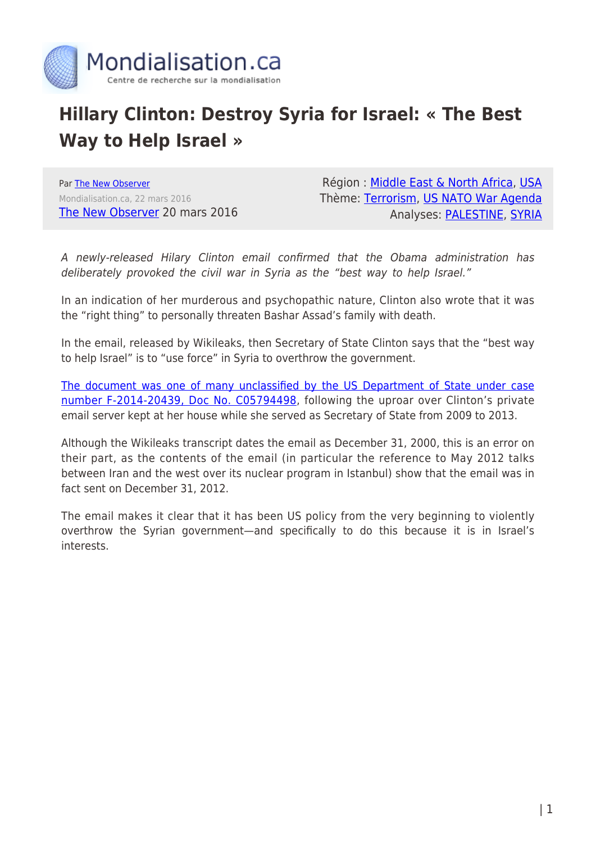

## **Hillary Clinton: Destroy Syria for Israel: « The Best Way to Help Israel »**

Par [The New Observer](https://www.mondialisation.ca/author/the-new-observer) Mondialisation.ca, 22 mars 2016 [The New Observer](http://newobserveronline.com/clinton-destroy-syria-israel/) 20 mars 2016

Région : [Middle East & North Africa,](https://www.mondialisation.ca/region/middle-east) [USA](https://www.mondialisation.ca/region/usa) Thème: [Terrorism](https://www.mondialisation.ca/theme/9-11-war-on-terrorism), [US NATO War Agenda](https://www.mondialisation.ca/theme/us-nato-war-agenda) Analyses: [PALESTINE](https://www.mondialisation.ca/indepthreport/palestine), [SYRIA](https://www.mondialisation.ca/indepthreport/syria-nato-s-next-war)

A newly-released Hilary Clinton email confirmed that the Obama administration has deliberately provoked the civil war in Syria as the "best way to help Israel."

In an indication of her murderous and psychopathic nature, Clinton also wrote that it was the "right thing" to personally threaten Bashar Assad's family with death.

In the email, released by Wikileaks, then Secretary of State Clinton says that the "best way to help Israel" is to "use force" in Syria to overthrow the government.

[The document was one of many unclassified by the US Department of State under case](https://wikileaks.org/clinton-emails/emailid/18328#efmADMAFf) [number F-2014-20439, Doc No. C05794498](https://wikileaks.org/clinton-emails/emailid/18328#efmADMAFf), following the uproar over Clinton's private email server kept at her house while she served as Secretary of State from 2009 to 2013.

Although the Wikileaks transcript dates the email as December 31, 2000, this is an error on their part, as the contents of the email (in particular the reference to May 2012 talks between Iran and the west over its nuclear program in Istanbul) show that the email was in fact sent on December 31, 2012.

The email makes it clear that it has been US policy from the very beginning to violently overthrow the Syrian government—and specifically to do this because it is in Israel's interests.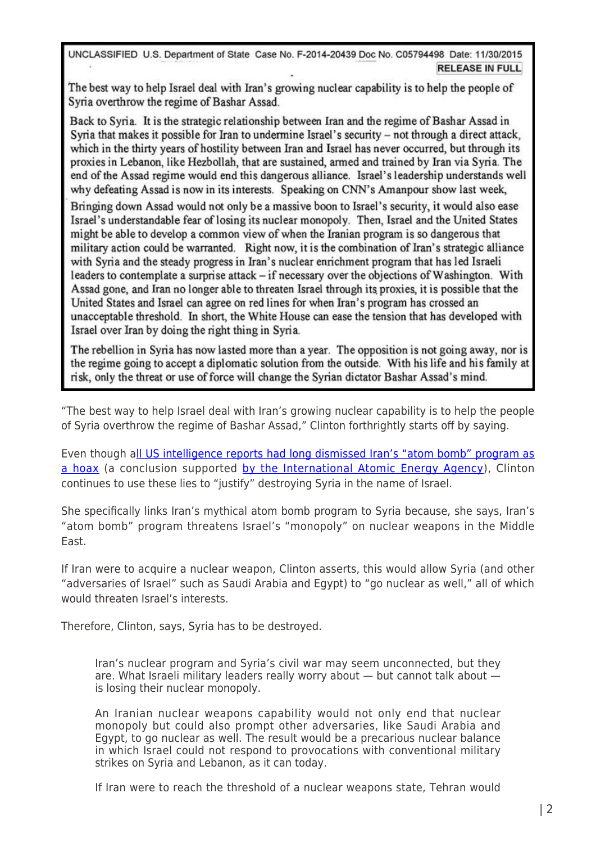UNCLASSIFIED U.S. Department of State Case No. F-2014-20439 Doc No. C05794498 Date: 11/30/2015 **RELEASE IN FULL** 

The best way to help Israel deal with Iran's growing nuclear capability is to help the people of Syria overthrow the regime of Bashar Assad.

Back to Syria. It is the strategic relationship between Iran and the regime of Bashar Assad in Syria that makes it possible for Iran to undermine Israel's security – not through a direct attack. which in the thirty years of hostility between Iran and Israel has never occurred, but through its proxies in Lebanon, like Hezbollah, that are sustained, armed and trained by Iran via Syria. The end of the Assad regime would end this dangerous alliance. Israel's leadership understands well why defeating Assad is now in its interests. Speaking on CNN's Amanpour show last week,

Bringing down Assad would not only be a massive boon to Israel's security, it would also ease Israel's understandable fear of losing its nuclear monopoly. Then, Israel and the United States might be able to develop a common view of when the Iranian program is so dangerous that military action could be warranted. Right now, it is the combination of Iran's strategic alliance with Syria and the steady progress in Iran's nuclear enrichment program that has led Israeli leaders to contemplate a surprise attack – if necessary over the objections of Washington. With Assad gone, and Iran no longer able to threaten Israel through its proxies, it is possible that the United States and Israel can agree on red lines for when Iran's program has crossed an unacceptable threshold. In short, the White House can ease the tension that has developed with Israel over Iran by doing the right thing in Syria.

The rebellion in Syria has now lasted more than a year. The opposition is not going away, nor is the regime going to accept a diplomatic solution from the outside. With his life and his family at risk, only the threat or use of force will change the Syrian dictator Bashar Assad's mind.

"The best way to help Israel deal with Iran's growing nuclear capability is to help the people of Syria overthrow the regime of Bashar Assad," Clinton forthrightly starts off by saying.

Even though [all US intelligence reports had long dismissed Iran's "atom bomb" program as](http://newobserveronline.com/irans-mythical-atom-bomb-and-the-real-rogue-nuclear-weapons-state-israel/) [a hoax](http://newobserveronline.com/irans-mythical-atom-bomb-and-the-real-rogue-nuclear-weapons-state-israel/) (a conclusion supported [by the International Atomic Energy Agency](http://newobserveronline.com/jewish-lobbys-iran-lies-exposed-by-iaea/)), Clinton continues to use these lies to "justify" destroying Syria in the name of Israel.

She specifically links Iran's mythical atom bomb program to Syria because, she says, Iran's "atom bomb" program threatens Israel's "monopoly" on nuclear weapons in the Middle East.

If Iran were to acquire a nuclear weapon, Clinton asserts, this would allow Syria (and other "adversaries of Israel" such as Saudi Arabia and Egypt) to "go nuclear as well," all of which would threaten Israel's interests.

Therefore, Clinton, says, Syria has to be destroyed.

Iran's nuclear program and Syria's civil war may seem unconnected, but they are. What Israeli military leaders really worry about — but cannot talk about is losing their nuclear monopoly.

An Iranian nuclear weapons capability would not only end that nuclear monopoly but could also prompt other adversaries, like Saudi Arabia and Egypt, to go nuclear as well. The result would be a precarious nuclear balance in which Israel could not respond to provocations with conventional military strikes on Syria and Lebanon, as it can today.

If Iran were to reach the threshold of a nuclear weapons state, Tehran would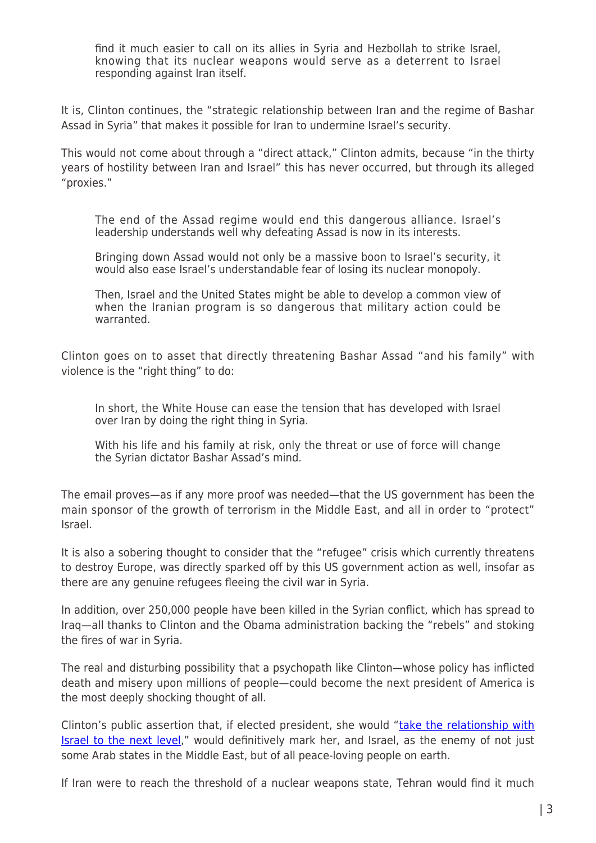find it much easier to call on its allies in Syria and Hezbollah to strike Israel, knowing that its nuclear weapons would serve as a deterrent to Israel responding against Iran itself.

It is, Clinton continues, the "strategic relationship between Iran and the regime of Bashar Assad in Syria" that makes it possible for Iran to undermine Israel's security.

This would not come about through a "direct attack," Clinton admits, because "in the thirty years of hostility between Iran and Israel" this has never occurred, but through its alleged "proxies."

The end of the Assad regime would end this dangerous alliance. Israel's leadership understands well why defeating Assad is now in its interests.

Bringing down Assad would not only be a massive boon to Israel's security, it would also ease Israel's understandable fear of losing its nuclear monopoly.

Then, Israel and the United States might be able to develop a common view of when the Iranian program is so dangerous that military action could be warranted.

Clinton goes on to asset that directly threatening Bashar Assad "and his family" with violence is the "right thing" to do:

In short, the White House can ease the tension that has developed with Israel over Iran by doing the right thing in Syria.

With his life and his family at risk, only the threat or use of force will change the Syrian dictator Bashar Assad's mind.

The email proves—as if any more proof was needed—that the US government has been the main sponsor of the growth of terrorism in the Middle East, and all in order to "protect" Israel.

It is also a sobering thought to consider that the "refugee" crisis which currently threatens to destroy Europe, was directly sparked off by this US government action as well, insofar as there are any genuine refugees fleeing the civil war in Syria.

In addition, over 250,000 people have been killed in the Syrian conflict, which has spread to Iraq—all thanks to Clinton and the Obama administration backing the "rebels" and stoking the fires of war in Syria.

The real and disturbing possibility that a psychopath like Clinton—whose policy has inflicted death and misery upon millions of people—could become the next president of America is the most deeply shocking thought of all.

Clinton's public assertion that, if elected president, she would "[take the relationship with](http://www.reuters.com/article/us-usa-election-clinton-idUSKBN0TP0QN20151206) **Israel to the next level**," would definitively mark her, and Israel, as the enemy of not just some Arab states in the Middle East, but of all peace-loving people on earth.

If Iran were to reach the threshold of a nuclear weapons state, Tehran would find it much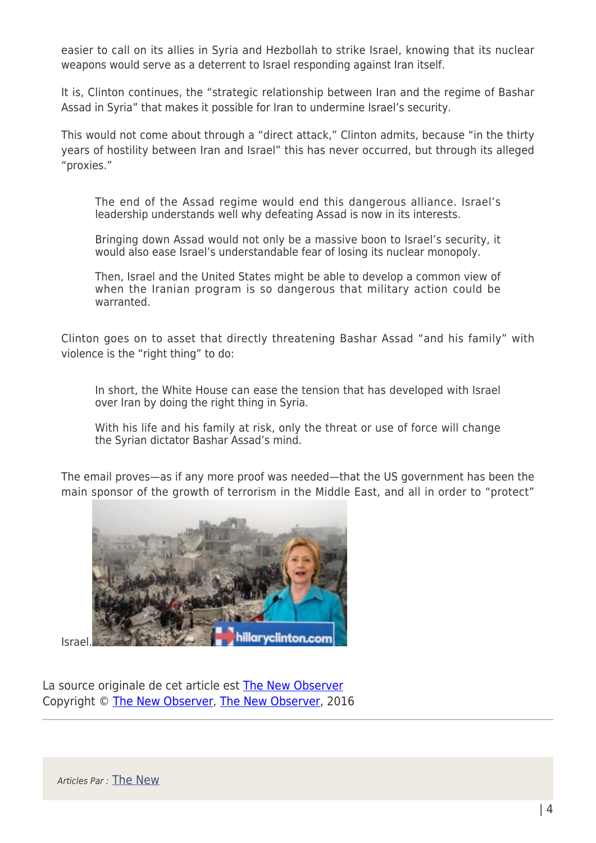easier to call on its allies in Syria and Hezbollah to strike Israel, knowing that its nuclear weapons would serve as a deterrent to Israel responding against Iran itself.

It is, Clinton continues, the "strategic relationship between Iran and the regime of Bashar Assad in Syria" that makes it possible for Iran to undermine Israel's security.

This would not come about through a "direct attack," Clinton admits, because "in the thirty years of hostility between Iran and Israel" this has never occurred, but through its alleged "proxies."

The end of the Assad regime would end this dangerous alliance. Israel's leadership understands well why defeating Assad is now in its interests.

Bringing down Assad would not only be a massive boon to Israel's security, it would also ease Israel's understandable fear of losing its nuclear monopoly.

Then, Israel and the United States might be able to develop a common view of when the Iranian program is so dangerous that military action could be warranted.

Clinton goes on to asset that directly threatening Bashar Assad "and his family" with violence is the "right thing" to do:

In short, the White House can ease the tension that has developed with Israel over Iran by doing the right thing in Syria.

With his life and his family at risk, only the threat or use of force will change the Syrian dictator Bashar Assad's mind.

The email proves—as if any more proof was needed—that the US government has been the main sponsor of the growth of terrorism in the Middle East, and all in order to "protect"



Israel.

La source originale de cet article est [The New Observer](http://newobserveronline.com/clinton-destroy-syria-israel/) Copyright © [The New Observer,](https://www.mondialisation.ca/author/the-new-observer) [The New Observer,](http://newobserveronline.com/clinton-destroy-syria-israel/) 2016